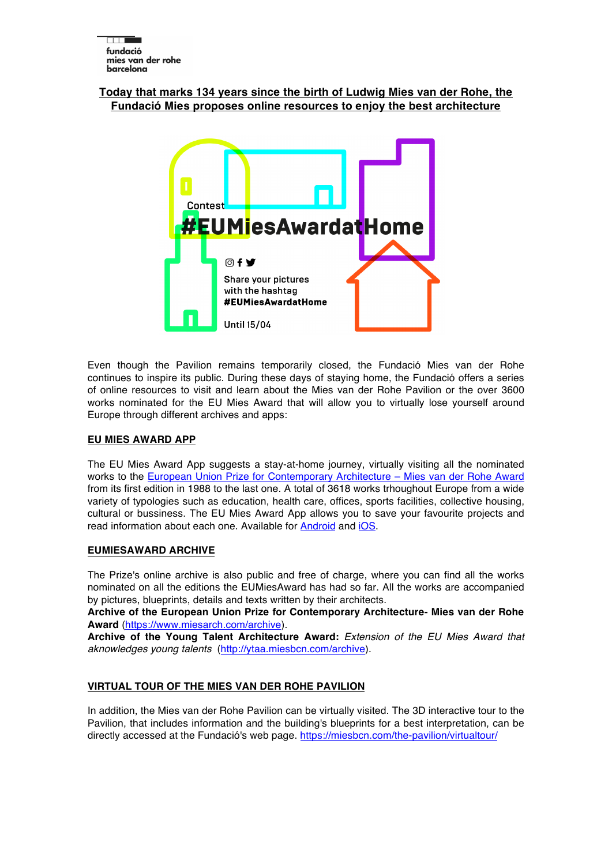# **Today that marks 134 years since the birth of Ludwig Mies van der Rohe, the Fundació Mies proposes online resources to enjoy the best architecture**



Even though the Pavilion remains temporarily closed, the Fundació Mies van der Rohe continues to inspire its public. During these days of staying home, the Fundació offers a series of online resources to visit and learn about the Mies van der Rohe Pavilion or the over 3600 works nominated for the EU Mies Award that will allow you to virtually lose yourself around Europe through different archives and apps:

# **EU MIES AWARD APP**

The EU Mies Award App suggests a stay-at-home journey, virtually visiting all the nominated works to the European Union Prize for Contemporary Architecture – Mies van der Rohe Award from its first edition in 1988 to the last one. A total of 3618 works trhoughout Europe from a wide variety of typologies such as education, health care, offices, sports facilities, collective housing, cultural or bussiness. The EU Mies Award App allows you to save your favourite projects and read information about each one. Available for Android and iOS.

# **EUMIESAWARD ARCHIVE**

The Prize's online archive is also public and free of charge, where you can find all the works nominated on all the editions the EUMiesAward has had so far. All the works are accompanied by pictures, blueprints, details and texts written by their architects.

**Archive of the European Union Prize for Contemporary Architecture- Mies van der Rohe Award** (https://www.miesarch.com/archive).

**Archive of the Young Talent Architecture Award:** *Extension of the EU Mies Award that aknowledges young talents* (http://ytaa.miesbcn.com/archive).

# **VIRTUAL TOUR OF THE MIES VAN DER ROHE PAVILION**

In addition, the Mies van der Rohe Pavilion can be virtually visited. The 3D interactive tour to the Pavilion, that includes information and the building's blueprints for a best interpretation, can be directly accessed at the Fundació's web page. https://miesbcn.com/the-pavilion/virtualtour/